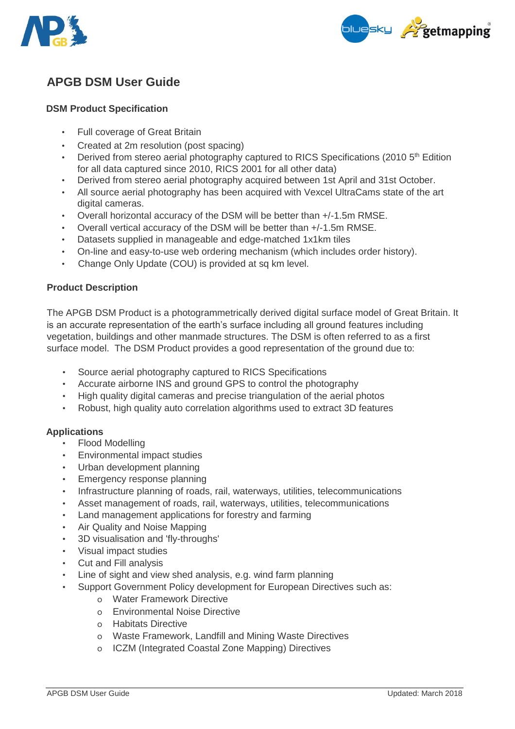



# **APGB DSM User Guide**

# **DSM Product Specification**

- Full coverage of Great Britain
- Created at 2m resolution (post spacing)
- Derived from stereo aerial photography captured to RICS Specifications (2010  $5<sup>th</sup>$  Edition for all data captured since 2010, RICS 2001 for all other data)
- Derived from stereo aerial photography acquired between 1st April and 31st October.
- All source aerial photography has been acquired with Vexcel UltraCams state of the art digital cameras.
- Overall horizontal accuracy of the DSM will be better than +/-1.5m RMSE.
- Overall vertical accuracy of the DSM will be better than +/-1.5m RMSE.
- Datasets supplied in manageable and edge-matched 1x1km tiles
- On-line and easy-to-use web ordering mechanism (which includes order history).
- Change Only Update (COU) is provided at sq km level.

## **Product Description**

The APGB DSM Product is a photogrammetrically derived digital surface model of Great Britain. It is an accurate representation of the earth's surface including all ground features including vegetation, buildings and other manmade structures. The DSM is often referred to as a first surface model. The DSM Product provides a good representation of the ground due to:

- Source aerial photography captured to RICS Specifications
- Accurate airborne INS and ground GPS to control the photography
- High quality digital cameras and precise triangulation of the aerial photos
- Robust, high quality auto correlation algorithms used to extract 3D features

## **Applications**

- Flood Modelling
- Environmental impact studies
- Urban development planning
- Emergency response planning
- Infrastructure planning of roads, rail, waterways, utilities, telecommunications
- Asset management of roads, rail, waterways, utilities, telecommunications
- Land management applications for forestry and farming
- Air Quality and Noise Mapping
- 3D visualisation and 'fly-throughs'
- Visual impact studies
- Cut and Fill analysis
- Line of sight and view shed analysis, e.g. wind farm planning
- Support Government Policy development for European Directives such as:
	- o Water Framework Directive
	- o Environmental Noise Directive
	- o Habitats Directive
	- o Waste Framework, Landfill and Mining Waste Directives
	- o ICZM (Integrated Coastal Zone Mapping) Directives